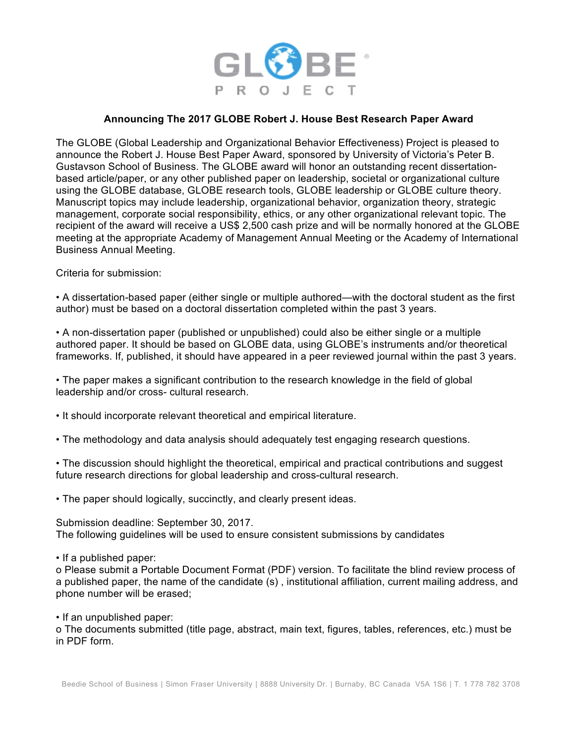

## **Announcing The 2017 GLOBE Robert J. House Best Research Paper Award**

The GLOBE (Global Leadership and Organizational Behavior Effectiveness) Project is pleased to announce the Robert J. House Best Paper Award, sponsored by University of Victoria's Peter B. Gustavson School of Business. The GLOBE award will honor an outstanding recent dissertationbased article/paper, or any other published paper on leadership, societal or organizational culture using the GLOBE database, GLOBE research tools, GLOBE leadership or GLOBE culture theory. Manuscript topics may include leadership, organizational behavior, organization theory, strategic management, corporate social responsibility, ethics, or any other organizational relevant topic. The recipient of the award will receive a US\$ 2,500 cash prize and will be normally honored at the GLOBE meeting at the appropriate Academy of Management Annual Meeting or the Academy of International Business Annual Meeting.

Criteria for submission:

• A dissertation-based paper (either single or multiple authored—with the doctoral student as the first author) must be based on a doctoral dissertation completed within the past 3 years.

• A non-dissertation paper (published or unpublished) could also be either single or a multiple authored paper. It should be based on GLOBE data, using GLOBE's instruments and/or theoretical frameworks. If, published, it should have appeared in a peer reviewed journal within the past 3 years.

• The paper makes a significant contribution to the research knowledge in the field of global leadership and/or cross- cultural research.

• It should incorporate relevant theoretical and empirical literature.

• The methodology and data analysis should adequately test engaging research questions.

• The discussion should highlight the theoretical, empirical and practical contributions and suggest future research directions for global leadership and cross-cultural research.

• The paper should logically, succinctly, and clearly present ideas.

Submission deadline: September 30, 2017. The following guidelines will be used to ensure consistent submissions by candidates

• If a published paper:

o Please submit a Portable Document Format (PDF) version. To facilitate the blind review process of a published paper, the name of the candidate (s) , institutional affiliation, current mailing address, and phone number will be erased;

• If an unpublished paper:

o The documents submitted (title page, abstract, main text, figures, tables, references, etc.) must be in PDF form.